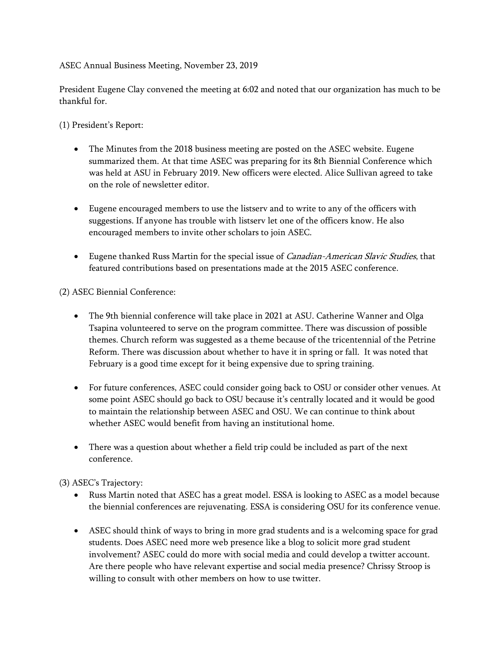# ASEC Annual Business Meeting, November 23, 2019

President Eugene Clay convened the meeting at 6:02 and noted that our organization has much to be thankful for.

(1) President's Report:

- The Minutes from the 2018 business meeting are posted on the ASEC website. Eugene summarized them. At that time ASEC was preparing for its 8th Biennial Conference which was held at ASU in February 2019. New officers were elected. Alice Sullivan agreed to take on the role of newsletter editor.
- Eugene encouraged members to use the listserv and to write to any of the officers with suggestions. If anyone has trouble with listserv let one of the officers know. He also encouraged members to invite other scholars to join ASEC.
- Eugene thanked Russ Martin for the special issue of *Canadian-American Slavic Studies*, that featured contributions based on presentations made at the 2015 ASEC conference.

(2) ASEC Biennial Conference:

- The 9th biennial conference will take place in 2021 at ASU. Catherine Wanner and Olga Tsapina volunteered to serve on the program committee. There was discussion of possible themes. Church reform was suggested as a theme because of the tricentennial of the Petrine Reform. There was discussion about whether to have it in spring or fall. It was noted that February is a good time except for it being expensive due to spring training.
- For future conferences, ASEC could consider going back to OSU or consider other venues. At some point ASEC should go back to OSU because it's centrally located and it would be good to maintain the relationship between ASEC and OSU. We can continue to think about whether ASEC would benefit from having an institutional home.
- There was a question about whether a field trip could be included as part of the next conference.

(3) ASEC's Trajectory:

- Russ Martin noted that ASEC has a great model. ESSA is looking to ASEC as a model because the biennial conferences are rejuvenating. ESSA is considering OSU for its conference venue.
- ASEC should think of ways to bring in more grad students and is a welcoming space for grad students. Does ASEC need more web presence like a blog to solicit more grad student involvement? ASEC could do more with social media and could develop a twitter account. Are there people who have relevant expertise and social media presence? Chrissy Stroop is willing to consult with other members on how to use twitter.